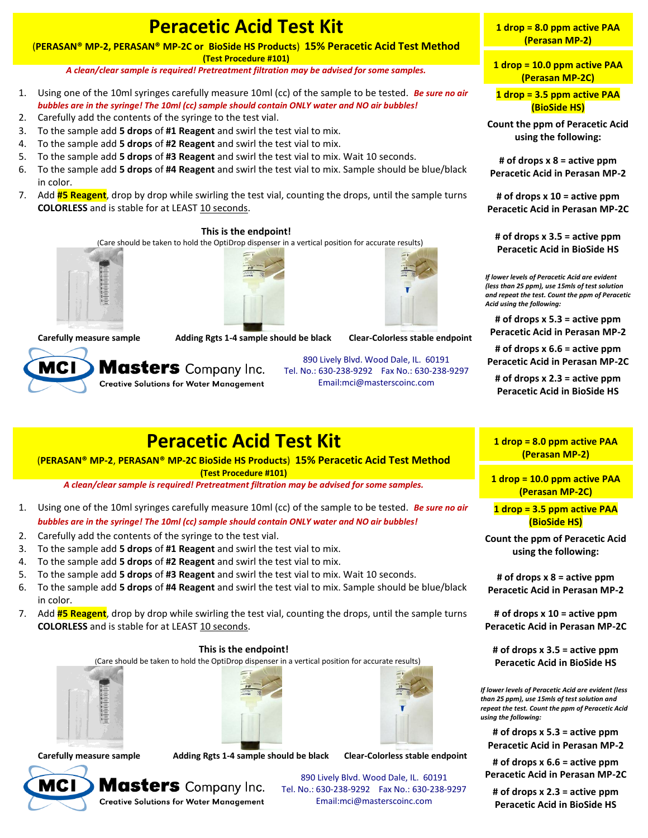# **Peracetic Acid Test Kit**

(**PERASAN® MP-2, PERASAN® MP-2C or BioSide HS Products**) **15% Peracetic Acid Test Method (Test Procedure #101)**

*A clean/clear sample is required! Pretreatment filtration may be advised for some samples.*

- 1. Using one of the 10ml syringes carefully measure 10ml (cc) of the sample to be tested. *Be sure no air bubbles are in the syringe! The 10ml (cc) sample should contain ONLY water and NO air bubbles!*
- 2. Carefully add the contents of the syringe to the test vial.
- 3. To the sample add **5 drops** of **#1 Reagent** and swirl the test vial to mix.
- 4. To the sample add **5 drops** of **#2 Reagent** and swirl the test vial to mix.
- 5. To the sample add **5 drops** of **#3 Reagent** and swirl the test vial to mix. Wait 10 seconds.
- 6. To the sample add **5 drops** of **#4 Reagent** and swirl the test vial to mix. Sample should be blue/black in color.
- 7. Add **#5 Reagent**, drop by drop while swirling the test vial, counting the drops, until the sample turns **COLORLESS** and is stable for at LEAST 10 seconds.

#### **This is the endpoint!**

(Care should be taken to hold the OptiDrop dispenser in a vertical position for accurate results)







**Carefully measure sample Adding Rgts 1-4 sample should be black Clear-Colorless stable endpoint**



890 Lively Blvd. Wood Dale, IL. 60191 Tel. No.: 630-238-9292 Fax No.: 630-238-9297 Email:mci@masterscoinc.com

### **Peracetic Acid Test Kit**

(**PERASAN® MP-2**, **PERASAN® MP-2C BioSide HS Products**) **15% Peracetic Acid Test Method (Test Procedure #101)**

*A clean/clear sample is required! Pretreatment filtration may be advised for some samples.*

- 1. Using one of the 10ml syringes carefully measure 10ml (cc) of the sample to be tested. *Be sure no air bubbles are in the syringe! The 10ml (cc) sample should contain ONLY water and NO air bubbles!*
- 2. Carefully add the contents of the syringe to the test vial.
- 3. To the sample add **5 drops** of **#1 Reagent** and swirl the test vial to mix.
- 4. To the sample add **5 drops** of **#2 Reagent** and swirl the test vial to mix.
- 5. To the sample add **5 drops** of **#3 Reagent** and swirl the test vial to mix. Wait 10 seconds.
- 6. To the sample add **5 drops** of **#4 Reagent** and swirl the test vial to mix. Sample should be blue/black in color.
- 7. Add **#5 Reagent**, drop by drop while swirling the test vial, counting the drops, until the sample turns **COLORLESS** and is stable for at LEAST 10 seconds.

#### **This is the endpoint!**

(Care should be taken to hold the OptiDrop dispenser in a vertical position for accurate results)







**Carefully measure sample Adding Rgts 1-4 sample should be black Clear-Colorless stable endpoint**



**Masters** Company Inc.

890 Lively Blvd. Wood Dale, IL. 60191 Tel. No.: 630-238-9292 Fax No.: 630-238-9297 Email:mci@masterscoinc.com

**1 drop = 8.0 ppm active PAA (Perasan MP-2)**

**1 drop = 10.0 ppm active PAA (Perasan MP-2C)**

**1 drop = 3.5 ppm active PAA (BioSide HS)**

**Count the ppm of Peracetic Acid using the following:**

**# of drops x 8 = active ppm Peracetic Acid in Perasan MP-2**

**# of drops x 10 = active ppm Peracetic Acid in Perasan MP-2C**

**# of drops x 3.5 = active ppm Peracetic Acid in BioSide HS**

*If lower levels of Peracetic Acid are evident (less than 25 ppm), use 15mls of test solution and repeat the test. Count the ppm of Peracetic Acid using the following:*

**# of drops x 5.3 = active ppm Peracetic Acid in Perasan MP-2**

**# of drops x 6.6 = active ppm Peracetic Acid in Perasan MP-2C**

**# of drops x 2.3 = active ppm Peracetic Acid in BioSide HS**

#### **1 drop = 8.0 ppm active PAA (Perasan MP-2)**

**1 drop = 10.0 ppm active PAA (Perasan MP-2C)**

**1 drop = 3.5 ppm active PAA (BioSide HS)**

**Count the ppm of Peracetic Acid using the following:**

**# of drops x 8 = active ppm Peracetic Acid in Perasan MP-2**

**# of drops x 10 = active ppm Peracetic Acid in Perasan MP-2C**

**# of drops x 3.5 = active ppm Peracetic Acid in BioSide HS**

*If lower levels of Peracetic Acid are evident (less than 25 ppm), use 15mls of test solution and repeat the test. Count the ppm of Peracetic Acid using the following:*

**# of drops x 5.3 = active ppm Peracetic Acid in Perasan MP-2**

**# of drops x 6.6 = active ppm Peracetic Acid in Perasan MP-2C**

**# of drops x 2.3 = active ppm Peracetic Acid in BioSide HS**